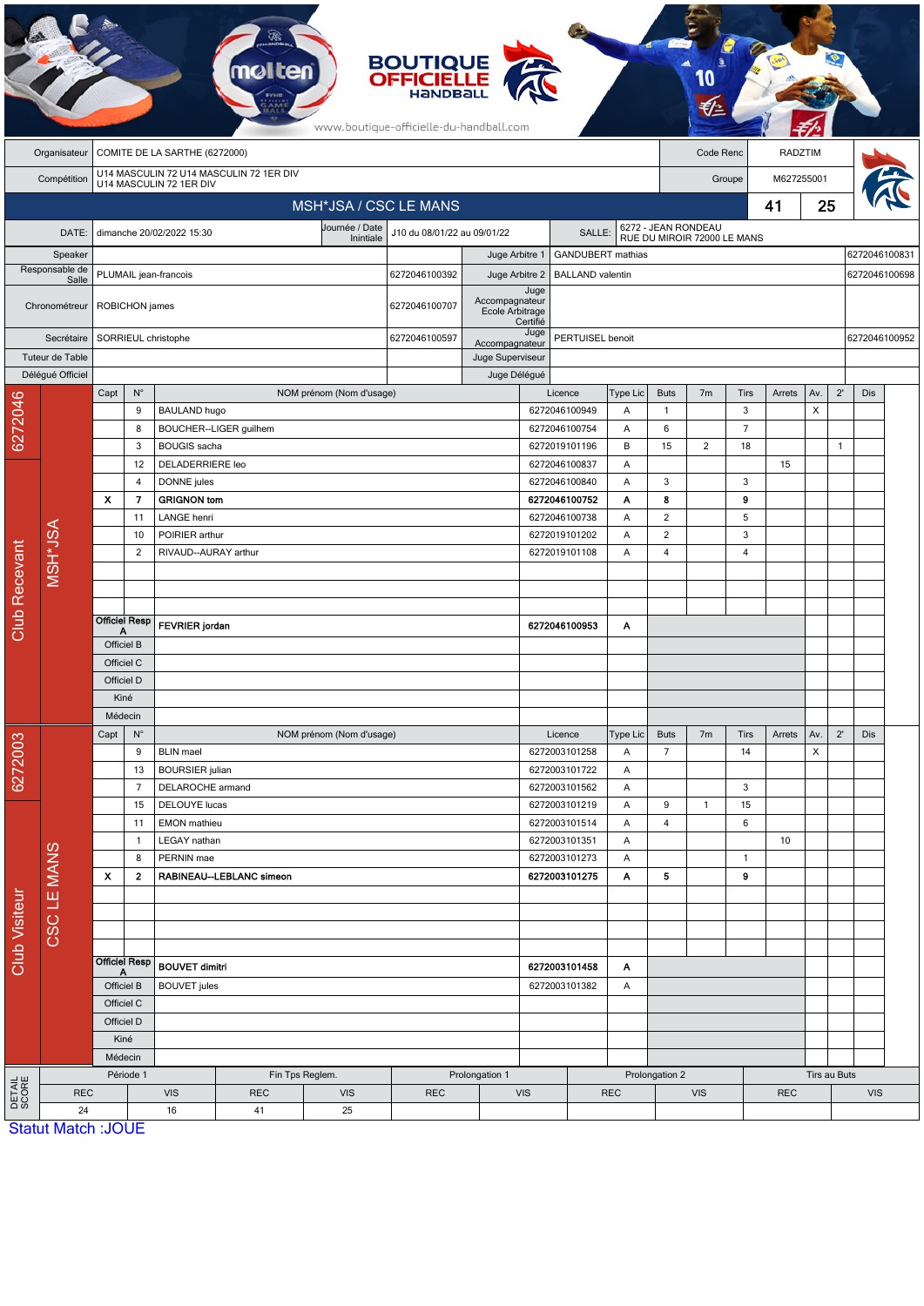|                      |                                               |                                                                    |                               |                                   | <b>molten</b>                     |                                               | <b>BOUTIQUE<br/>OFFICIELLE</b><br>www.boutique-officielle-du-handball.com |                                            |                                           |                                |             |                          |                             |                |            |              |               |               |               |
|----------------------|-----------------------------------------------|--------------------------------------------------------------------|-------------------------------|-----------------------------------|-----------------------------------|-----------------------------------------------|---------------------------------------------------------------------------|--------------------------------------------|-------------------------------------------|--------------------------------|-------------|--------------------------|-----------------------------|----------------|------------|--------------|---------------|---------------|---------------|
|                      | COMITE DE LA SARTHE (6272000)<br>Organisateur |                                                                    |                               |                                   |                                   |                                               |                                                                           |                                            |                                           |                                |             |                          | Code Renc<br>RADZTIM        |                |            |              |               |               |               |
|                      | Compétition                                   | U14 MASCULIN 72 U14 MASCULIN 72 1ER DIV<br>U14 MASCULIN 72 1ER DIV |                               |                                   |                                   |                                               |                                                                           |                                            |                                           |                                |             | M627255001<br>Groupe     |                             |                |            |              |               |               |               |
|                      |                                               |                                                                    |                               |                                   |                                   | MSH*JSA / CSC LE MANS                         |                                                                           |                                            |                                           |                                |             |                          |                             | 41             | 25         |              |               |               |               |
|                      | DATE:                                         |                                                                    |                               | dimanche 20/02/2022 15:30         |                                   | Journée / Date<br>J10 du 08/01/22 au 09/01/22 |                                                                           |                                            | SALLE:                                    |                                |             | 6272 - JEAN RONDEAU      |                             |                |            |              |               |               |               |
|                      | Speaker                                       | Inintiale                                                          |                               |                                   |                                   |                                               |                                                                           | <b>GANDUBERT</b> mathias<br>Juge Arbitre 1 |                                           |                                |             |                          | RUE DU MIROIR 72000 LE MANS |                |            |              |               | 6272046100831 |               |
|                      | Responsable de<br>Salle                       | PLUMAIL jean-francois                                              |                               |                                   |                                   |                                               | 6272046100392                                                             |                                            | Juge Arbitre 2<br><b>BALLAND</b> valentin |                                |             |                          |                             |                |            |              |               |               | 6272046100698 |
|                      | Chronométreur                                 |                                                                    | ROBICHON james                |                                   |                                   |                                               | 6272046100707                                                             | Accompagnateur<br>Ecole Arbitrage          | Juge<br>Certifié                          |                                |             |                          |                             |                |            |              |               |               |               |
|                      | Secrétaire                                    |                                                                    |                               | SORRIEUL christophe               |                                   |                                               | 6272046100597                                                             | Juge<br>Accompagnateur                     |                                           | PERTUISEL benoit               |             |                          |                             |                |            |              | 6272046100952 |               |               |
| Tuteur de Table      |                                               |                                                                    |                               |                                   |                                   |                                               |                                                                           | Juge Superviseur                           |                                           |                                |             |                          |                             |                |            |              |               |               |               |
|                      | Délégué Officiel                              | Capt                                                               | $\mathsf{N}^\circ$            |                                   |                                   |                                               | Juge Délégué                                                              |                                            | Licence                                   | Type Lic                       | <b>Buts</b> | 7 <sub>m</sub>           | <b>Tirs</b>                 | Arrets         | Av.        | $2^{\prime}$ | Dis           |               |               |
| 6272046              |                                               |                                                                    | 9                             | <b>BAULAND hugo</b>               |                                   | NOM prénom (Nom d'usage)                      |                                                                           |                                            |                                           | 6272046100949                  | Α           | 1                        |                             | 3              |            | X            |               |               |               |
|                      |                                               |                                                                    | 8                             |                                   | BOUCHER--LIGER guilhem            |                                               |                                                                           |                                            |                                           | 6272046100754                  | Α           | 6                        |                             | $\overline{7}$ |            |              |               |               |               |
|                      |                                               | 3                                                                  |                               | <b>BOUGIS</b> sacha               |                                   |                                               |                                                                           |                                            |                                           | 6272019101196                  | B           | 15                       | $\overline{2}$              | 18             |            |              | $\mathbf{1}$  |               |               |
|                      |                                               |                                                                    | 12                            | <b>DELADERRIERE</b> leo           |                                   |                                               |                                                                           |                                            | 6272046100837                             |                                | Α           |                          |                             |                | 15         |              |               |               |               |
|                      |                                               | x                                                                  | 4<br>7                        | DONNE jules                       |                                   |                                               |                                                                           |                                            |                                           | 6272046100840<br>6272046100752 | A<br>Α      | 3<br>8                   |                             | 3<br>9         |            |              |               |               |               |
|                      |                                               |                                                                    | 11                            | <b>GRIGNON tom</b><br>LANGE henri |                                   |                                               |                                                                           |                                            |                                           | 6272046100738                  | Α           | $\overline{\mathbf{c}}$  |                             | 5              |            |              |               |               |               |
|                      |                                               | 10<br>$\overline{c}$                                               |                               | POIRIER arthur                    |                                   |                                               |                                                                           |                                            | 6272019101202<br>Α                        |                                |             | $\overline{2}$           |                             | 3              |            |              |               |               |               |
|                      |                                               |                                                                    |                               |                                   | RIVAUD--AURAY arthur              |                                               |                                                                           |                                            |                                           | 6272019101108<br>Α             |             |                          |                             | $\overline{4}$ |            |              |               |               |               |
|                      | MSH*JSA                                       |                                                                    |                               |                                   |                                   |                                               |                                                                           |                                            |                                           |                                |             |                          |                             |                |            |              |               |               |               |
|                      |                                               |                                                                    |                               |                                   |                                   |                                               |                                                                           |                                            |                                           |                                |             |                          |                             |                |            |              |               |               |               |
| Club Recevant        |                                               |                                                                    | Officiel Resp                 |                                   |                                   |                                               |                                                                           |                                            |                                           |                                |             |                          |                             |                |            |              |               |               |               |
|                      |                                               | Officiel B                                                         |                               | <b>FEVRIER</b> jordan             |                                   |                                               |                                                                           |                                            |                                           | 6272046100953                  | Α           |                          |                             |                |            |              |               |               |               |
|                      |                                               | Officiel C                                                         |                               |                                   |                                   |                                               |                                                                           |                                            |                                           |                                |             |                          |                             |                |            |              |               |               |               |
|                      |                                               | Officiel D                                                         |                               |                                   |                                   |                                               |                                                                           |                                            |                                           |                                |             |                          |                             |                |            |              |               |               |               |
|                      |                                               | Kiné                                                               |                               |                                   |                                   |                                               |                                                                           |                                            |                                           |                                |             |                          |                             |                |            |              |               |               |               |
|                      |                                               | Médecin                                                            |                               |                                   |                                   |                                               |                                                                           |                                            |                                           |                                |             |                          |                             |                |            |              |               |               |               |
|                      |                                               | Capt                                                               | $N^{\circ}$                   |                                   |                                   | NOM prénom (Nom d'usage)                      |                                                                           |                                            |                                           | Licence                        | Type Lic    | <b>Buts</b>              | 7 <sub>m</sub>              | Tirs           | Arrets     | Av.          | $2^{\prime}$  | Dis           |               |
| 6272003              |                                               | 9                                                                  |                               | <b>BLIN</b> mael                  |                                   |                                               |                                                                           |                                            | 6272003101258<br>6272003101722            |                                | Α           | $\overline{7}$           |                             | 14             |            | Х            |               |               |               |
|                      |                                               | 13<br>$\overline{7}$                                               |                               | <b>BOURSIER</b> julian            | DELAROCHE armand                  |                                               |                                                                           |                                            |                                           | Α<br>6272003101562<br>Α        |             |                          |                             | 3              |            |              |               |               |               |
|                      |                                               | 15                                                                 |                               | DELOUYE lucas                     |                                   |                                               |                                                                           |                                            | 6272003101219                             |                                | A           | 9                        | $\mathbf{1}$                | 15             |            |              |               |               |               |
|                      |                                               | 11                                                                 |                               | EMON mathieu                      |                                   |                                               |                                                                           |                                            | 6272003101514                             |                                | Α           | 4                        |                             | 6              |            |              |               |               |               |
|                      |                                               | 1                                                                  |                               | LEGAY nathan                      |                                   |                                               |                                                                           |                                            | 6272003101351                             |                                | Α           |                          |                             |                | 10         |              |               |               |               |
| <b>Club Visiteur</b> | CSC LE MANS                                   | 8                                                                  |                               | PERNIN mae                        |                                   |                                               |                                                                           |                                            | 6272003101273<br>Α                        |                                |             |                          |                             | $\overline{1}$ |            |              |               |               |               |
|                      |                                               | X                                                                  | 2<br>RABINEAU--LEBLANC simeon |                                   |                                   | 6272003101275                                 |                                                                           | Α                                          | 5                                         |                                | 9           |                          |                             |                |            |              |               |               |               |
|                      |                                               |                                                                    |                               |                                   |                                   |                                               |                                                                           |                                            |                                           |                                |             |                          |                             |                |            |              |               |               |               |
|                      |                                               |                                                                    |                               |                                   |                                   |                                               |                                                                           |                                            |                                           |                                |             |                          |                             |                |            |              |               |               |               |
|                      |                                               |                                                                    |                               |                                   |                                   |                                               |                                                                           |                                            |                                           |                                |             |                          |                             |                |            |              |               |               |               |
|                      |                                               | <b>Officiel Resp</b><br>Α                                          |                               | <b>BOUVET dimitri</b>             |                                   |                                               |                                                                           | 6272003101458<br>Α                         |                                           |                                |             |                          |                             |                |            |              |               |               |               |
|                      |                                               | Officiel B                                                         |                               | <b>BOUVET</b> jules               |                                   |                                               |                                                                           | 6272003101382                              |                                           | A                              |             |                          |                             |                |            |              |               |               |               |
|                      |                                               |                                                                    | Officiel C                    |                                   |                                   |                                               |                                                                           |                                            |                                           |                                |             |                          |                             |                |            |              |               |               |               |
|                      |                                               |                                                                    | Officiel D                    |                                   |                                   |                                               |                                                                           |                                            |                                           |                                |             |                          |                             |                |            |              |               |               |               |
|                      |                                               |                                                                    | Kiné                          |                                   |                                   |                                               |                                                                           |                                            |                                           |                                |             |                          |                             |                |            |              |               |               |               |
|                      |                                               | Médecin<br>Période 1                                               |                               |                                   | Fin Tps Reglem.<br>Prolongation 1 |                                               |                                                                           |                                            |                                           |                                |             | Prolongation 2           |                             |                |            |              | Tirs au Buts  |               |               |
| DETAIL<br>SCORE      | <b>REC</b>                                    |                                                                    |                               | <b>VIS</b>                        | <b>REC</b>                        | <b>VIS</b>                                    | <b>REC</b>                                                                |                                            | <b>VIS</b><br><b>REC</b>                  |                                |             | <b>VIS</b><br><b>REC</b> |                             |                | <b>VIS</b> |              |               |               |               |
|                      | 24                                            |                                                                    |                               | 16                                | 41                                | 25                                            |                                                                           |                                            |                                           |                                |             |                          |                             |                |            |              |               |               |               |
|                      | <b>Statut Match: JOUE</b>                     |                                                                    |                               |                                   |                                   |                                               |                                                                           |                                            |                                           |                                |             |                          |                             |                |            |              |               |               |               |

**CA**